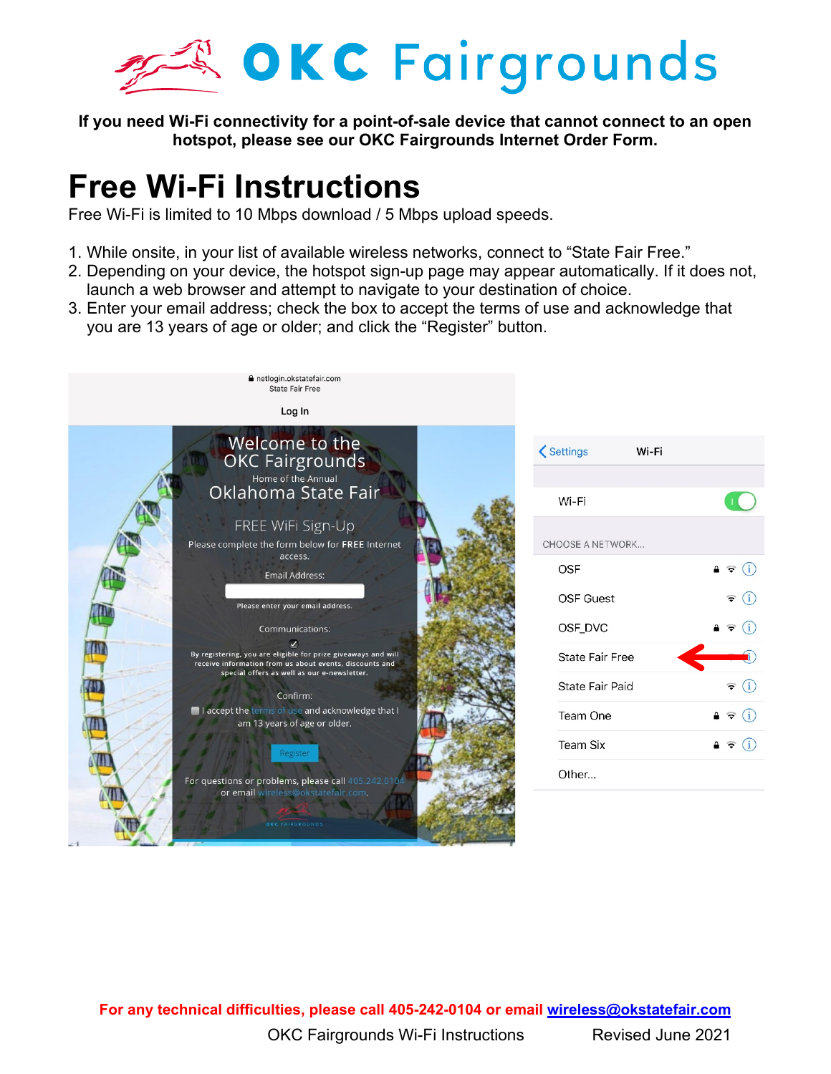

**If you need Wi-Fi connectivity for a point-of-sale device that cannot connect to an open hotspot, please see our OKC Fairgrounds Internet Order Form.**

## **Free Wi-Fi Instructions**

Free Wi-Fi is limited to 10 Mbps download / 5 Mbps upload speeds.

- 1. While onsite, in your list of available wireless networks, connect to "State Fair Free."
- 2. Depending on your device, the hotspot sign-up page may appear automatically. If it does not, launch a web browser and attempt to navigate to your destination of choice.
- 3. Enter your email address; check the box to accept the terms of use and acknowledge that you are 13 years of age or older; and click the "Register" button.



| < Settings              | Wi-Fi |                                                              |
|-------------------------|-------|--------------------------------------------------------------|
|                         |       |                                                              |
| Wi-Fi                   |       |                                                              |
| <b>CHOOSE A NETWORK</b> |       |                                                              |
| OSF                     |       | $\blacksquare$ $\widehat{\mathbf{v}}$ $\widehat{\mathbf{u}}$ |
| <b>OSF Guest</b>        |       | $\widehat{\mathbf{z}}$ (i)                                   |
| OSF_DVC                 |       | $\bullet \in (i)$                                            |
| State Fair Free         |       |                                                              |
| State Fair Paid         |       | (i)<br>F                                                     |
| Team One                |       | $\mathbf{a} \in (i)$                                         |
| <b>Team Six</b>         |       | (i)<br>≞ ≑                                                   |
| Other                   |       |                                                              |